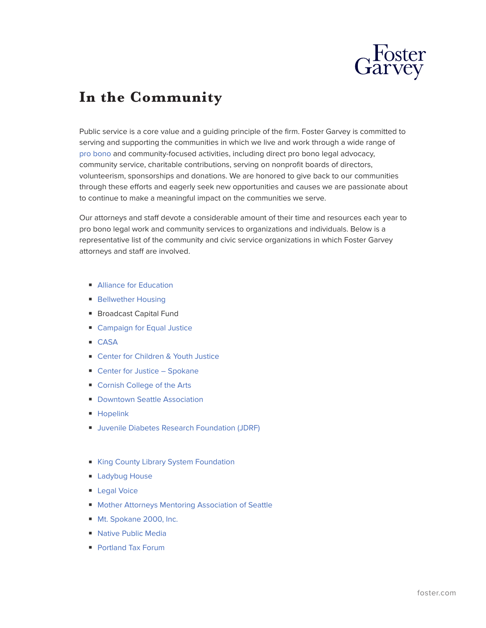

## **In the Community**

Public service is a core value and a guiding principle of the firm. Foster Garvey is committed to serving and supporting the communities in which we live and work through a wide range of [pro bono](https://www.foster.com/ourfirm-probono) and community-focused activities, including direct pro bono legal advocacy, community service, charitable contributions, serving on nonprofit boards of directors, volunteerism, sponsorships and donations. We are honored to give back to our communities through these efforts and eagerly seek new opportunities and causes we are passionate about to continue to make a meaningful impact on the communities we serve.

Our attorneys and staff devote a considerable amount of their time and resources each year to pro bono legal work and community services to organizations and individuals. Below is a representative list of the community and civic service organizations in which Foster Garvey attorneys and staff are involved.

- [Alliance for Education](http://www.alliance4ed.org/)
- [Bellwether Housing](https://www.bellwetherhousing.org/)
- Broadcast Capital Fund
- [Campaign for Equal Justice](https://cej-oregon.org/)
- [CASA](https://oregoncasanetwork.org/)
- [Center for Children & Youth Justice](https://ccyj.org/)
- [Center for Justice Spokane](https://www.cforjustice.org/)
- [Cornish College of the Arts](https://www.cornish.edu/)
- [Downtown Seattle Association](https://downtownseattle.org/)
- [Hopelink](https://www.hopelink.org/)
- Juvenile Diabetes Research Foundation (JDRF)
- [King County Library System Foundation](https://www.kclsfoundation.org/)
- [Ladybug House](https://www.ladybughouse.org/)
- [Legal Voice](https://www.legalvoice.org/)
- [Mother Attorneys Mentoring Association of Seattle](http://www.mamaseattle.org/)
- [Mt. Spokane 2000, Inc.](http://www.mtspokane.com/non-profit-organization/)
- [Native Public Media](https://www.nativepublicmedia.org/)
- [Portland Tax Forum](https://pdxtaxforum.org/)